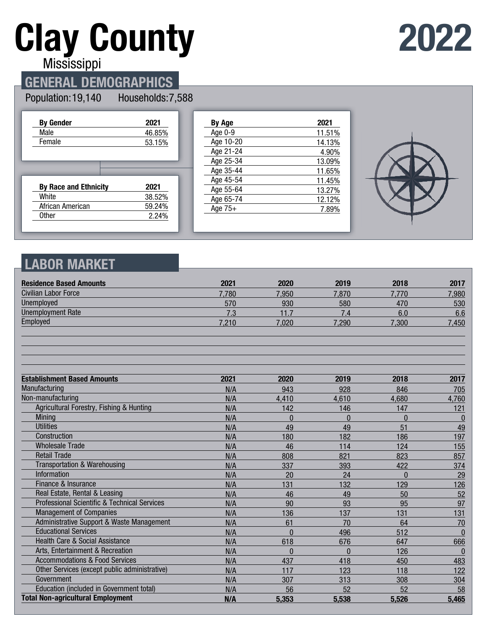# **Clay County**

## **2022**

Mississippi

## **GENERAL DEMOGRAPHICS**

#### Population: 19,140 Households: 7,588

| <b>By Gender</b>             | 2021   |
|------------------------------|--------|
| Male                         | 46.85% |
| Female                       | 53.15% |
|                              |        |
|                              |        |
|                              |        |
|                              |        |
| <b>By Race and Ethnicity</b> | 2021   |
| White                        | 38.52% |
| African American             | 59.24% |

| <b>By Age</b> | 2021   |
|---------------|--------|
| Age 0-9       | 11.51% |
| Age 10-20     | 14.13% |
| Age 21-24     | 4.90%  |
| Age 25-34     | 13.09% |
| Age 35-44     | 11.65% |
| Age 45-54     | 11.45% |
| Age 55-64     | 13.27% |
| Age 65-74     | 12.12% |
| Age $75+$     | 7.89%  |
|               |        |



## **LABOR MARKET**

| <b>Residence Based Amounts</b>                          | 2021  | 2020     | 2019     | 2018           | 2017         |
|---------------------------------------------------------|-------|----------|----------|----------------|--------------|
| Civilian Labor Force                                    | 7,780 | 7,950    | 7,870    | 7.770          | 7,980        |
| Unemployed                                              | 570   | 930      | 580      | 470            | 530          |
| <b>Unemployment Rate</b>                                | 7.3   | 11.7     | 7.4      | 6.0            | 6.6          |
| Employed                                                | 7,210 | 7,020    | 7,290    | 7,300          | 7,450        |
|                                                         |       |          |          |                |              |
| <b>Establishment Based Amounts</b>                      | 2021  | 2020     | 2019     | 2018           | 2017         |
| Manufacturing                                           | N/A   | 943      | 928      | 846            | 705          |
| Non-manufacturing                                       | N/A   | 4,410    | 4,610    | 4,680          | 4,760        |
| Agricultural Forestry, Fishing & Hunting                | N/A   | 142      | 146      | 147            | 121          |
| <b>Mining</b>                                           | N/A   | $\Omega$ | $\Omega$ | $\overline{0}$ | $\bf{0}$     |
| <b>Utilities</b>                                        | N/A   | 49       | 49       | 51             | 49           |
| Construction                                            | N/A   | 180      | 182      | 186            | 197          |
| <b>Wholesale Trade</b>                                  | N/A   | 46       | 114      | 124            | 155          |
| <b>Retail Trade</b>                                     | N/A   | 808      | 821      | 823            | 857          |
| <b>Transportation &amp; Warehousing</b>                 | N/A   | 337      | 393      | 422            | 374          |
| <b>Information</b>                                      | N/A   | 20       | 24       | $\Omega$       | 29           |
| Finance & Insurance                                     | N/A   | 131      | 132      | 129            | 126          |
| Real Estate, Rental & Leasing                           | N/A   | 46       | 49       | 50             | 52           |
| <b>Professional Scientific &amp; Technical Services</b> | N/A   | 90       | 93       | 95             | 97           |
| <b>Management of Companies</b>                          | N/A   | 136      | 137      | 131            | 131          |
| Administrative Support & Waste Management               | N/A   | 61       | 70       | 64             | 70           |
| <b>Educational Services</b>                             | N/A   | $\theta$ | 496      | 512            | $\bf{0}$     |
| <b>Health Care &amp; Social Assistance</b>              | N/A   | 618      | 676      | 647            | 666          |
| Arts, Entertainment & Recreation                        | N/A   | $\Omega$ | $\Omega$ | 126            | $\mathbf{0}$ |
| <b>Accommodations &amp; Food Services</b>               | N/A   | 437      | 418      | 450            | 483          |
| Other Services (except public administrative)           | N/A   | 117      | 123      | 118            | 122          |
| Government                                              | N/A   | 307      | 313      | 308            | 304          |
| Education (included in Government total)                | N/A   | 56       | 52       | 52             | 58           |
| <b>Total Non-agricultural Employment</b>                | N/A   | 5,353    | 5,538    | 5,526          | 5,465        |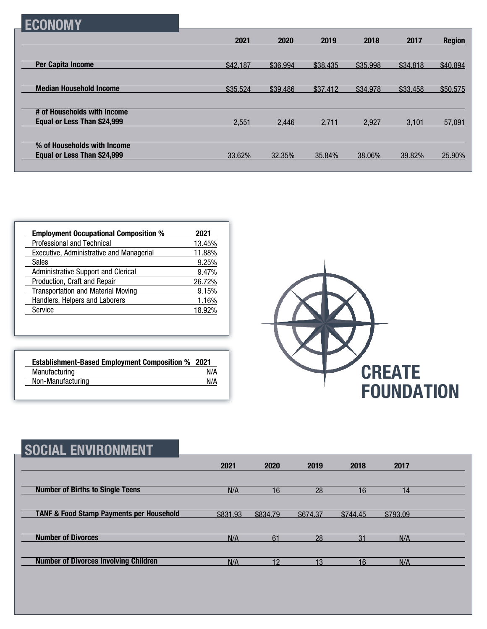|  | 1 | ٠ |
|--|---|---|
|--|---|---|

|                                | 2021     | 2020     | 2019     | 2018     | 2017     | <b>Region</b> |
|--------------------------------|----------|----------|----------|----------|----------|---------------|
|                                |          |          |          |          |          |               |
| <b>Per Capita Income</b>       | \$42,187 | \$36,994 | \$38,435 | \$35,998 | \$34,818 | \$40,894      |
|                                |          |          |          |          |          |               |
| <b>Median Household Income</b> | \$35,524 | \$39,486 | \$37,412 | \$34,978 | \$33,458 | \$50,575      |
|                                |          |          |          |          |          |               |
| # of Households with Income    |          |          |          |          |          |               |
| Equal or Less Than \$24,999    | 2.551    | 2.446    | 2.711    | 2.927    | 3.101    | 57,091        |
|                                |          |          |          |          |          |               |
| % of Households with Income    |          |          |          |          |          |               |
| Equal or Less Than \$24,999    | 33.62%   | 32.35%   | 35.84%   | 38.06%   | 39.82%   | 25.90%        |
|                                |          |          |          |          |          |               |

| <b>Employment Occupational Composition %</b> | 2021   |
|----------------------------------------------|--------|
| Professional and Technical                   | 13.45% |
| Executive, Administrative and Managerial     | 11.88% |
| <b>Sales</b>                                 | 9.25%  |
| Administrative Support and Clerical          | 9.47%  |
| Production, Craft and Repair                 | 26.72% |
| <b>Transportation and Material Moving</b>    | 9.15%  |
| Handlers, Helpers and Laborers               | 1.16%  |
| Service                                      | 18.92% |

| <b>Establishment-Based Employment Composition % 2021</b> |     |
|----------------------------------------------------------|-----|
| Manufacturing                                            | N/A |
| Non-Manufacturing                                        | N/A |



| <b>SOCIAL ENVIRONMENT</b>                           |          |          |          |          |          |  |
|-----------------------------------------------------|----------|----------|----------|----------|----------|--|
|                                                     | 2021     | 2020     | 2019     | 2018     | 2017     |  |
| <b>Number of Births to Single Teens</b>             | N/A      | 16       | 28       | 16       | 14       |  |
| <b>TANF &amp; Food Stamp Payments per Household</b> | \$831.93 | \$834.79 | \$674.37 | \$744.45 | \$793.09 |  |
| <b>Number of Divorces</b>                           | N/A      | 61       | 28       | 31       | N/A      |  |
| <b>Number of Divorces Involving Children</b>        | N/A      | 12       | 13       | 16       | N/A      |  |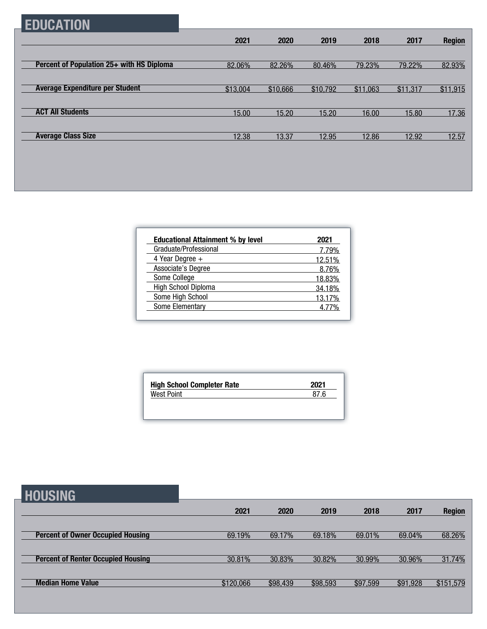## **EDUCATION**

|                                           | 2021     | 2020     | 2019     | 2018     | 2017     | <b>Region</b> |
|-------------------------------------------|----------|----------|----------|----------|----------|---------------|
|                                           |          |          |          |          |          |               |
| Percent of Population 25+ with HS Diploma | 82.06%   | 82.26%   | 80.46%   | 79.23%   | 79.22%   | 82.93%        |
|                                           |          |          |          |          |          |               |
| <b>Average Expenditure per Student</b>    | \$13,004 | \$10,666 | \$10,792 | \$11,063 | \$11,317 | \$11,915      |
|                                           |          |          |          |          |          |               |
| <b>ACT All Students</b>                   | 15.00    | 15.20    | 15.20    | 16.00    | 15.80    | 17.36         |
|                                           |          |          |          |          |          |               |
| <b>Average Class Size</b>                 | 12.38    | 13.37    | 12.95    | 12.86    | 12.92    | 12.57         |

| <b>Educational Attainment % by level</b> | 2021   |
|------------------------------------------|--------|
| Graduate/Professional                    | 7.79%  |
| 4 Year Degree $+$                        | 12.51% |
| Associate's Degree                       | 8.76%  |
| Some College                             | 18.83% |
| High School Diploma                      | 34.18% |
| Some High School                         | 13.17% |
| Some Elementary                          | 4 77%  |

| 2021 | <b>High School Completer Rate</b> |
|------|-----------------------------------|
| 87.6 | West Point                        |
|      |                                   |

| <b>HOUSING</b>                            |           |          |          |          |          |               |
|-------------------------------------------|-----------|----------|----------|----------|----------|---------------|
|                                           | 2021      | 2020     | 2019     | 2018     | 2017     | <b>Region</b> |
| <b>Percent of Owner Occupied Housing</b>  | 69.19%    | 69.17%   | 69.18%   | 69.01%   | 69.04%   | 68.26%        |
|                                           |           |          |          |          |          |               |
| <b>Percent of Renter Occupied Housing</b> | 30.81%    | 30.83%   | 30.82%   | 30.99%   | 30.96%   | 31.74%        |
| <b>Median Home Value</b>                  | \$120,066 | \$98,439 | \$98,593 | \$97,599 | \$91,928 | \$151,579     |
|                                           |           |          |          |          |          |               |